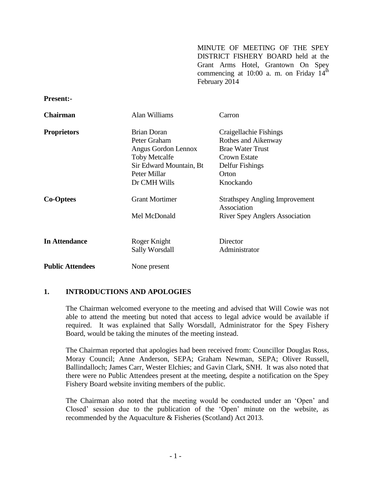MINUTE OF MEETING OF THE SPEY DISTRICT FISHERY BOARD held at the Grant Arms Hotel, Grantown On Spey commencing at 10:00 a. m. on Friday  $14<sup>th</sup>$ February 2014

**Present:-**

| <b>Chairman</b>         | Alan Williams           | Carron                                               |
|-------------------------|-------------------------|------------------------------------------------------|
| <b>Proprietors</b>      | <b>Brian Doran</b>      | Craigellachie Fishings                               |
|                         | Peter Graham            | Rothes and Aikenway                                  |
|                         | Angus Gordon Lennox     | <b>Brae Water Trust</b>                              |
|                         | <b>Toby Metcalfe</b>    | Crown Estate                                         |
|                         | Sir Edward Mountain, Bt | Delfur Fishings                                      |
|                         | Peter Millar            | Orton                                                |
|                         | Dr CMH Wills            | Knockando                                            |
| <b>Co-Optees</b>        | <b>Grant Mortimer</b>   | <b>Strathspey Angling Improvement</b><br>Association |
|                         | Mel McDonald            | <b>River Spey Anglers Association</b>                |
|                         |                         |                                                      |
| <b>In Attendance</b>    | Roger Knight            | Director                                             |
|                         | <b>Sally Worsdall</b>   | Administrator                                        |
| <b>Public Attendees</b> | None present            |                                                      |

# **1. INTRODUCTIONS AND APOLOGIES**

The Chairman welcomed everyone to the meeting and advised that Will Cowie was not able to attend the meeting but noted that access to legal advice would be available if required. It was explained that Sally Worsdall, Administrator for the Spey Fishery Board, would be taking the minutes of the meeting instead.

The Chairman reported that apologies had been received from: Councillor Douglas Ross, Moray Council; Anne Anderson, SEPA; Graham Newman, SEPA; Oliver Russell, Ballindalloch; James Carr, Wester Elchies; and Gavin Clark, SNH. It was also noted that there were no Public Attendees present at the meeting, despite a notification on the Spey Fishery Board website inviting members of the public.

The Chairman also noted that the meeting would be conducted under an 'Open' and Closed' session due to the publication of the 'Open' minute on the website, as recommended by the Aquaculture & Fisheries (Scotland) Act 2013.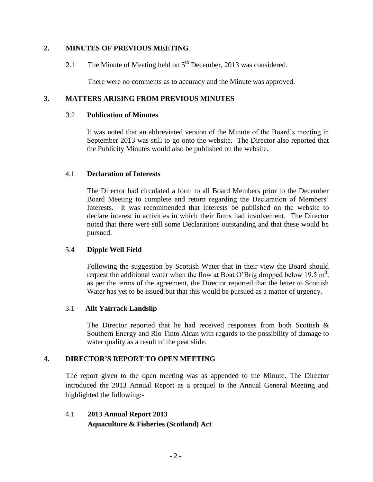### **2. MINUTES OF PREVIOUS MEETING**

2.1 The Minute of Meeting held on  $5<sup>th</sup>$  December, 2013 was considered.

There were no comments as to accuracy and the Minute was approved.

### **3. MATTERS ARISING FROM PREVIOUS MINUTES**

#### 3.2 **Publication of Minutes**

It was noted that an abbreviated version of the Minute of the Board's meeting in September 2013 was still to go onto the website. The Director also reported that the Publicity Minutes would also be published on the website.

### 4.1 **Declaration of Interests**

The Director had circulated a form to all Board Members prior to the December Board Meeting to complete and return regarding the Declaration of Members' Interests. It was recommended that interests be published on the website to declare interest in activities in which their firms had involvement. The Director noted that there were still some Declarations outstanding and that these would be pursued.

# 5.4 **Dipple Well Field**

Following the suggestion by Scottish Water that in their view the Board should request the additional water when the flow at Boat O'Brig dropped below 19.5 m<sup>3</sup>, as per the terms of the agreement, the Director reported that the letter to Scottish Water has yet to be issued but that this would be pursued as a matter of urgency.

#### 3.1 **Allt Yairrack Landslip**

The Director reported that he had received responses from both Scottish  $\&$ Southern Energy and Rio Tinto Alcan with regards to the possibility of damage to water quality as a result of the peat slide.

# **4. DIRECTOR'S REPORT TO OPEN MEETING**

The report given to the open meeting was as appended to the Minute. The Director introduced the 2013 Annual Report as a prequel to the Annual General Meeting and highlighted the following:-

4.1 **2013 Annual Report 2013 Aquaculture & Fisheries (Scotland) Act**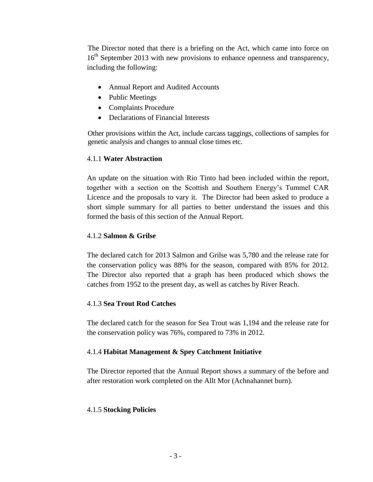The Director noted that there is a briefing on the Act, which came into force on 16<sup>th</sup> September 2013 with new provisions to enhance openness and transparency, including the following:

- Annual Report and Audited Accounts
- Public Meetings
- Complaints Procedure
- Declarations of Financial Interests

Other provisions within the Act, include carcass taggings, collections of samples for genetic analysis and changes to annual close times etc.

# 4.1.1 **Water Abstraction**

An update on the situation with Rio Tinto had been included within the report, together with a section on the Scottish and Southern Energy's Tummel CAR Licence and the proposals to vary it. The Director had been asked to produce a short simple summary for all parties to better understand the issues and this formed the basis of this section of the Annual Report.

# 4.1.2 **Salmon & Grilse**

The declared catch for 2013 Salmon and Grilse was 5,780 and the release rate for the conservation policy was 88% for the season, compared with 85% for 2012. The Director also reported that a graph has been produced which shows the catches from 1952 to the present day, as well as catches by River Reach.

# 4.1.3 **Sea Trout Rod Catches**

The declared catch for the season for Sea Trout was 1,194 and the release rate for the conservation policy was 76%, compared to 73% in 2012.

# 4.1.4 **Habitat Management & Spey Catchment Initiative**

The Director reported that the Annual Report shows a summary of the before and after restoration work completed on the Allt Mor (Achnahannet burn).

# 4.1.5 **Stocking Policies**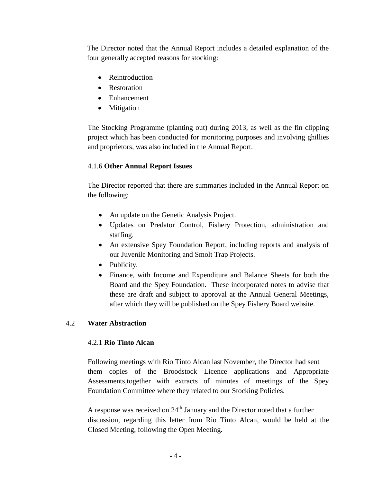The Director noted that the Annual Report includes a detailed explanation of the four generally accepted reasons for stocking:

- Reintroduction
- Restoration
- Enhancement
- Mitigation

The Stocking Programme (planting out) during 2013, as well as the fin clipping project which has been conducted for monitoring purposes and involving ghillies and proprietors, was also included in the Annual Report.

# 4.1.6 **Other Annual Report Issues**

The Director reported that there are summaries included in the Annual Report on the following:

- An update on the Genetic Analysis Project.
- Updates on Predator Control, Fishery Protection, administration and staffing.
- An extensive Spey Foundation Report, including reports and analysis of our Juvenile Monitoring and Smolt Trap Projects.
- Publicity.
- Finance, with Income and Expenditure and Balance Sheets for both the Board and the Spey Foundation. These incorporated notes to advise that these are draft and subject to approval at the Annual General Meetings, after which they will be published on the Spey Fishery Board website.

# 4.2 **Water Abstraction**

# 4.2.1 **Rio Tinto Alcan**

Following meetings with Rio Tinto Alcan last November, the Director had sent them copies of the Broodstock Licence applications and Appropriate Assessments,together with extracts of minutes of meetings of the Spey Foundation Committee where they related to our Stocking Policies.

A response was received on  $24<sup>th</sup>$  January and the Director noted that a further discussion, regarding this letter from Rio Tinto Alcan, would be held at the Closed Meeting, following the Open Meeting.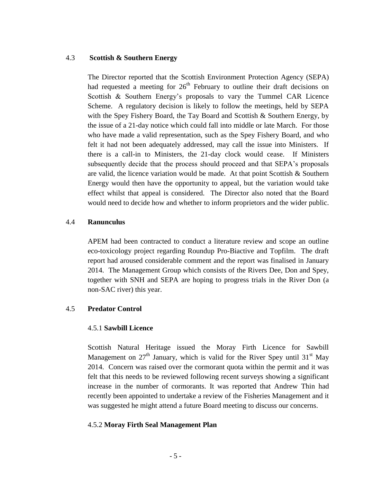#### 4.3 **Scottish & Southern Energy**

The Director reported that the Scottish Environment Protection Agency (SEPA) had requested a meeting for  $26<sup>th</sup>$  February to outline their draft decisions on Scottish & Southern Energy's proposals to vary the Tummel CAR Licence Scheme. A regulatory decision is likely to follow the meetings, held by SEPA with the Spey Fishery Board, the Tay Board and Scottish & Southern Energy, by the issue of a 21-day notice which could fall into middle or late March. For those who have made a valid representation, such as the Spey Fishery Board, and who felt it had not been adequately addressed, may call the issue into Ministers. If there is a call-in to Ministers, the 21-day clock would cease. If Ministers subsequently decide that the process should proceed and that SEPA's proposals are valid, the licence variation would be made. At that point Scottish  $&$  Southern Energy would then have the opportunity to appeal, but the variation would take effect whilst that appeal is considered. The Director also noted that the Board would need to decide how and whether to inform proprietors and the wider public.

### 4.4 **Ranunculus**

APEM had been contracted to conduct a literature review and scope an outline eco-toxicology project regarding Roundup Pro-Biactive and Topfilm. The draft report had aroused considerable comment and the report was finalised in January 2014. The Management Group which consists of the Rivers Dee, Don and Spey, together with SNH and SEPA are hoping to progress trials in the River Don (a non-SAC river) this year.

# 4.5 **Predator Control**

#### 4.5.1 **Sawbill Licence**

Scottish Natural Heritage issued the Moray Firth Licence for Sawbill Management on  $27<sup>th</sup>$  January, which is valid for the River Spey until  $31<sup>st</sup>$  May 2014. Concern was raised over the cormorant quota within the permit and it was felt that this needs to be reviewed following recent surveys showing a significant increase in the number of cormorants. It was reported that Andrew Thin had recently been appointed to undertake a review of the Fisheries Management and it was suggested he might attend a future Board meeting to discuss our concerns.

#### 4.5.2 **Moray Firth Seal Management Plan**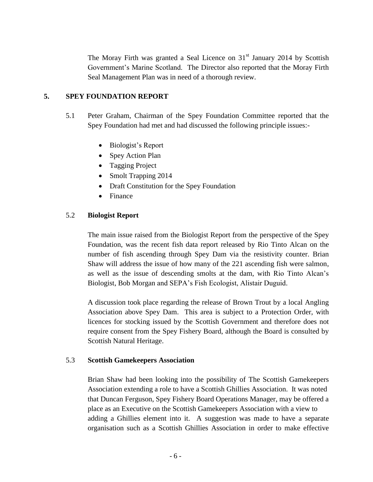The Moray Firth was granted a Seal Licence on 31<sup>st</sup> January 2014 by Scottish Government's Marine Scotland. The Director also reported that the Moray Firth Seal Management Plan was in need of a thorough review.

### **5. SPEY FOUNDATION REPORT**

- 5.1 Peter Graham, Chairman of the Spey Foundation Committee reported that the Spey Foundation had met and had discussed the following principle issues:-
	- Biologist's Report
	- Spey Action Plan
	- Tagging Project
	- Smolt Trapping 2014
	- Draft Constitution for the Spey Foundation
	- Finance

# 5.2 **Biologist Report**

The main issue raised from the Biologist Report from the perspective of the Spey Foundation, was the recent fish data report released by Rio Tinto Alcan on the number of fish ascending through Spey Dam via the resistivity counter. Brian Shaw will address the issue of how many of the 221 ascending fish were salmon, as well as the issue of descending smolts at the dam, with Rio Tinto Alcan's Biologist, Bob Morgan and SEPA's Fish Ecologist, Alistair Duguid.

A discussion took place regarding the release of Brown Trout by a local Angling Association above Spey Dam. This area is subject to a Protection Order, with licences for stocking issued by the Scottish Government and therefore does not require consent from the Spey Fishery Board, although the Board is consulted by Scottish Natural Heritage.

# 5.3 **Scottish Gamekeepers Association**

Brian Shaw had been looking into the possibility of The Scottish Gamekeepers Association extending a role to have a Scottish Ghillies Association. It was noted that Duncan Ferguson, Spey Fishery Board Operations Manager, may be offered a place as an Executive on the Scottish Gamekeepers Association with a view to adding a Ghillies element into it. A suggestion was made to have a separate organisation such as a Scottish Ghillies Association in order to make effective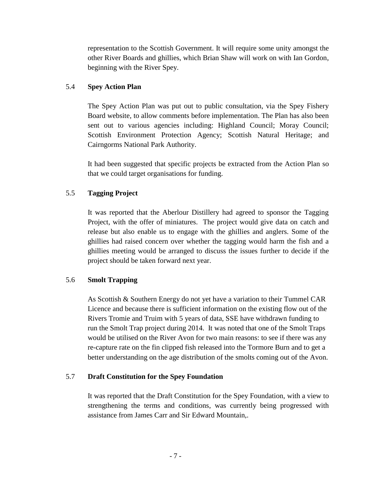representation to the Scottish Government. It will require some unity amongst the other River Boards and ghillies, which Brian Shaw will work on with Ian Gordon, beginning with the River Spey.

# 5.4 **Spey Action Plan**

The Spey Action Plan was put out to public consultation, via the Spey Fishery Board website, to allow comments before implementation. The Plan has also been sent out to various agencies including: Highland Council; Moray Council; Scottish Environment Protection Agency; Scottish Natural Heritage; and Cairngorms National Park Authority.

It had been suggested that specific projects be extracted from the Action Plan so that we could target organisations for funding.

# 5.5 **Tagging Project**

It was reported that the Aberlour Distillery had agreed to sponsor the Tagging Project, with the offer of miniatures. The project would give data on catch and release but also enable us to engage with the ghillies and anglers. Some of the ghillies had raised concern over whether the tagging would harm the fish and a ghillies meeting would be arranged to discuss the issues further to decide if the project should be taken forward next year.

# 5.6 **Smolt Trapping**

As Scottish & Southern Energy do not yet have a variation to their Tummel CAR Licence and because there is sufficient information on the existing flow out of the Rivers Tromie and Truim with 5 years of data, SSE have withdrawn funding to run the Smolt Trap project during 2014. It was noted that one of the Smolt Traps would be utilised on the River Avon for two main reasons: to see if there was any re-capture rate on the fin clipped fish released into the Tormore Burn and to get a better understanding on the age distribution of the smolts coming out of the Avon.

# 5.7 **Draft Constitution for the Spey Foundation**

It was reported that the Draft Constitution for the Spey Foundation, with a view to strengthening the terms and conditions, was currently being progressed with assistance from James Carr and Sir Edward Mountain,.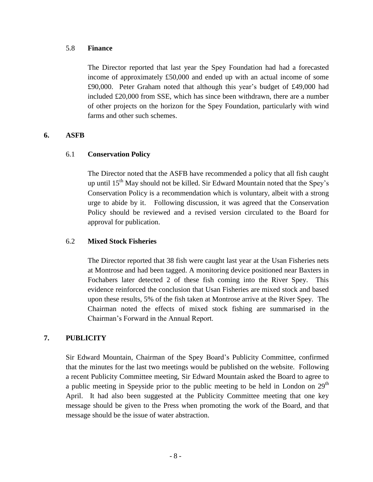#### 5.8 **Finance**

The Director reported that last year the Spey Foundation had had a forecasted income of approximately £50,000 and ended up with an actual income of some £90,000. Peter Graham noted that although this year's budget of £49,000 had included £20,000 from SSE, which has since been withdrawn, there are a number of other projects on the horizon for the Spey Foundation, particularly with wind farms and other such schemes.

#### **6. ASFB**

### 6.1 **Conservation Policy**

The Director noted that the ASFB have recommended a policy that all fish caught up until 15<sup>th</sup> May should not be killed. Sir Edward Mountain noted that the Spey's Conservation Policy is a recommendation which is voluntary, albeit with a strong urge to abide by it. Following discussion, it was agreed that the Conservation Policy should be reviewed and a revised version circulated to the Board for approval for publication.

# 6.2 **Mixed Stock Fisheries**

The Director reported that 38 fish were caught last year at the Usan Fisheries nets at Montrose and had been tagged. A monitoring device positioned near Baxters in Fochabers later detected 2 of these fish coming into the River Spey. This evidence reinforced the conclusion that Usan Fisheries are mixed stock and based upon these results, 5% of the fish taken at Montrose arrive at the River Spey. The Chairman noted the effects of mixed stock fishing are summarised in the Chairman's Forward in the Annual Report.

# **7. PUBLICITY**

Sir Edward Mountain, Chairman of the Spey Board's Publicity Committee, confirmed that the minutes for the last two meetings would be published on the website. Following a recent Publicity Committee meeting, Sir Edward Mountain asked the Board to agree to a public meeting in Speyside prior to the public meeting to be held in London on  $29<sup>th</sup>$ April. It had also been suggested at the Publicity Committee meeting that one key message should be given to the Press when promoting the work of the Board, and that message should be the issue of water abstraction.